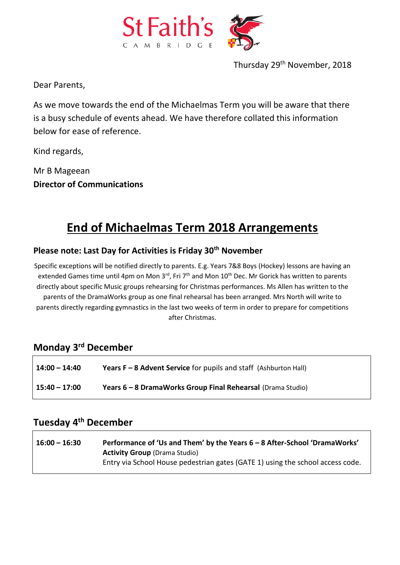

Thursday 29th November, 2018

Dear Parents,

As we move towards the end of the Michaelmas Term you will be aware that there is a busy schedule of events ahead. We have therefore collated this information below for ease of reference.

Kind regards,

Mr B Mageean **Director of Communications** 

# **End of Michaelmas Term 2018 Arrangements**

### **Please note: Last Day for Activities is Friday 30th November**

Specific exceptions will be notified directly to parents. E.g. Years 7&8 Boys (Hockey) lessons are having an extended Games time until 4pm on Mon 3rd, Fri 7<sup>th</sup> and Mon 10<sup>th</sup> Dec. Mr Gorick has written to parents directly about specific Music groups rehearsing for Christmas performances. Ms Allen has written to the parents of the DramaWorks group as one final rehearsal has been arranged. Mrs North will write to parents directly regarding gymnastics in the last two weeks of term in order to prepare for competitions after Christmas.

#### **Monday 3rd December**

| $14:00 - 14:40$ | <b>Years F – 8 Advent Service</b> for pupils and staff (Ashburton Hall) |
|-----------------|-------------------------------------------------------------------------|
| $15:40 - 17:00$ | Years 6 - 8 DramaWorks Group Final Rehearsal (Drama Studio)             |

#### **Tuesday 4th December**

| $16:00 - 16:30$ | Performance of 'Us and Them' by the Years 6 - 8 After-School 'DramaWorks'      |
|-----------------|--------------------------------------------------------------------------------|
|                 | <b>Activity Group</b> (Drama Studio)                                           |
|                 | Entry via School House pedestrian gates (GATE 1) using the school access code. |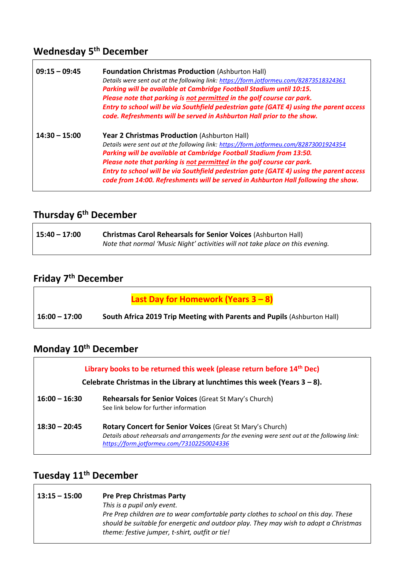# **Wednesday 5th December**

| $09:15 - 09:45$ | <b>Foundation Christmas Production (Ashburton Hall)</b><br>Details were sent out at the following link: https://form.jotformeu.com/82873518324361<br>Parking will be available at Cambridge Football Stadium until 10:15.<br>Please note that parking is not permitted in the golf course car park.<br>Entry to school will be via Southfield pedestrian gate (GATE 4) using the parent access<br>code. Refreshments will be served in Ashburton Hall prior to the show.        |
|-----------------|---------------------------------------------------------------------------------------------------------------------------------------------------------------------------------------------------------------------------------------------------------------------------------------------------------------------------------------------------------------------------------------------------------------------------------------------------------------------------------|
| $14:30 - 15:00$ | <b>Year 2 Christmas Production (Ashburton Hall)</b><br>Details were sent out at the following link: https://form.jotformeu.com/82873001924354<br>Parking will be available at Cambridge Football Stadium from 13:50.<br>Please note that parking is not permitted in the golf course car park.<br>Entry to school will be via Southfield pedestrian gate (GATE 4) using the parent access<br>code from 14:00. Refreshments will be served in Ashburton Hall following the show. |

# **Thursday 6th December**

| 15:40 - 17:00 | <b>Christmas Carol Rehearsals for Senior Voices (Ashburton Hall)</b>           |
|---------------|--------------------------------------------------------------------------------|
|               | Note that normal 'Music Night' activities will not take place on this evening. |

# **Friday 7th December**

|                 | Last Day for Homework (Years 3 - 8)                                     |
|-----------------|-------------------------------------------------------------------------|
| $16:00 - 17:00$ | South Africa 2019 Trip Meeting with Parents and Pupils (Ashburton Hall) |

# **Monday 10th December**

|                 | Library books to be returned this week (please return before 14 <sup>th</sup> Dec)<br>Celebrate Christmas in the Library at lunchtimes this week (Years $3 - 8$ ).                                       |
|-----------------|----------------------------------------------------------------------------------------------------------------------------------------------------------------------------------------------------------|
| $16:00 - 16:30$ | <b>Rehearsals for Senior Voices (Great St Mary's Church)</b><br>See link below for further information                                                                                                   |
| $18:30 - 20:45$ | Rotary Concert for Senior Voices (Great St Mary's Church)<br>Details about rehearsals and arrangements for the evening were sent out at the following link:<br>https://form.jotformeu.com/73102250024336 |

## **Tuesday 11th December**

| $13:15 - 15:00$ | <b>Pre Prep Christmas Party</b>                                                       |
|-----------------|---------------------------------------------------------------------------------------|
|                 | This is a pupil only event.                                                           |
|                 | Pre Prep children are to wear comfortable party clothes to school on this day. These  |
|                 | should be suitable for energetic and outdoor play. They may wish to adopt a Christmas |
|                 | theme: festive jumper, t-shirt, outfit or tie!                                        |
|                 |                                                                                       |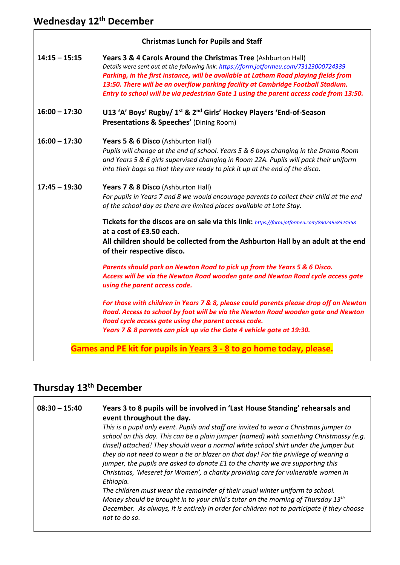| <b>Christmas Lunch for Pupils and Staff</b>                          |                                                                                                                                                                                                                                                                                                                                                                                                                               |
|----------------------------------------------------------------------|-------------------------------------------------------------------------------------------------------------------------------------------------------------------------------------------------------------------------------------------------------------------------------------------------------------------------------------------------------------------------------------------------------------------------------|
| $14:15 - 15:15$                                                      | Years 3 & 4 Carols Around the Christmas Tree (Ashburton Hall)<br>Details were sent out at the following link: https://form.jotformeu.com/73123000724339<br>Parking, in the first instance, will be available at Latham Road playing fields from<br>13:50. There will be an overflow parking facility at Cambridge Football Stadium.<br>Entry to school will be via pedestrian Gate 1 using the parent access code from 13:50. |
| $16:00 - 17:30$                                                      | U13 'A' Boys' Rugby/ 1 <sup>st</sup> & 2 <sup>nd</sup> Girls' Hockey Players 'End-of-Season<br>Presentations & Speeches' (Dining Room)                                                                                                                                                                                                                                                                                        |
| $16:00 - 17:30$                                                      | Years 5 & 6 Disco (Ashburton Hall)<br>Pupils will change at the end of school. Years 5 & 6 boys changing in the Drama Room<br>and Years 5 & 6 girls supervised changing in Room 22A. Pupils will pack their uniform<br>into their bags so that they are ready to pick it up at the end of the disco.                                                                                                                          |
| $17:45 - 19:30$                                                      | Years 7 & 8 Disco (Ashburton Hall)<br>For pupils in Years 7 and 8 we would encourage parents to collect their child at the end<br>of the school day as there are limited places available at Late Stay.                                                                                                                                                                                                                       |
|                                                                      | Tickets for the discos are on sale via this link: https://form.jotformeu.com/83024958324358<br>at a cost of £3.50 each.<br>All children should be collected from the Ashburton Hall by an adult at the end<br>of their respective disco.                                                                                                                                                                                      |
|                                                                      | Parents should park on Newton Road to pick up from the Years 5 & 6 Disco.<br>Access will be via the Newton Road wooden gate and Newton Road cycle access gate<br>using the parent access code.                                                                                                                                                                                                                                |
|                                                                      | For those with children in Years 7 & 8, please could parents please drop off on Newton<br>Road. Access to school by foot will be via the Newton Road wooden gate and Newton<br>Road cycle access gate using the parent access code.<br>Years 7 & 8 parents can pick up via the Gate 4 vehicle gate at 19:30.                                                                                                                  |
| Games and PE kit for pupils in Years 3 - 8 to go home today, please. |                                                                                                                                                                                                                                                                                                                                                                                                                               |

# **Thursday 13th December**

| $08:30 - 15:40$ | Years 3 to 8 pupils will be involved in 'Last House Standing' rehearsals and<br>event throughout the day.<br>This is a pupil only event. Pupils and staff are invited to wear a Christmas jumper to<br>school on this day. This can be a plain jumper (named) with something Christmassy (e.g.<br>tinsel) attached! They should wear a normal white school shirt under the jumper but<br>they do not need to wear a tie or blazer on that day! For the privilege of wearing a<br>jumper, the pupils are asked to donate £1 to the charity we are supporting this<br>Christmas, 'Meseret for Women', a charity providing care for vulnerable women in<br>Ethiopia.<br>The children must wear the remainder of their usual winter uniform to school.<br>Money should be brought in to your child's tutor on the morning of Thursday 13 <sup>th</sup><br>December. As always, it is entirely in order for children not to participate if they choose<br>not to do so. |
|-----------------|--------------------------------------------------------------------------------------------------------------------------------------------------------------------------------------------------------------------------------------------------------------------------------------------------------------------------------------------------------------------------------------------------------------------------------------------------------------------------------------------------------------------------------------------------------------------------------------------------------------------------------------------------------------------------------------------------------------------------------------------------------------------------------------------------------------------------------------------------------------------------------------------------------------------------------------------------------------------|
|                 |                                                                                                                                                                                                                                                                                                                                                                                                                                                                                                                                                                                                                                                                                                                                                                                                                                                                                                                                                                    |